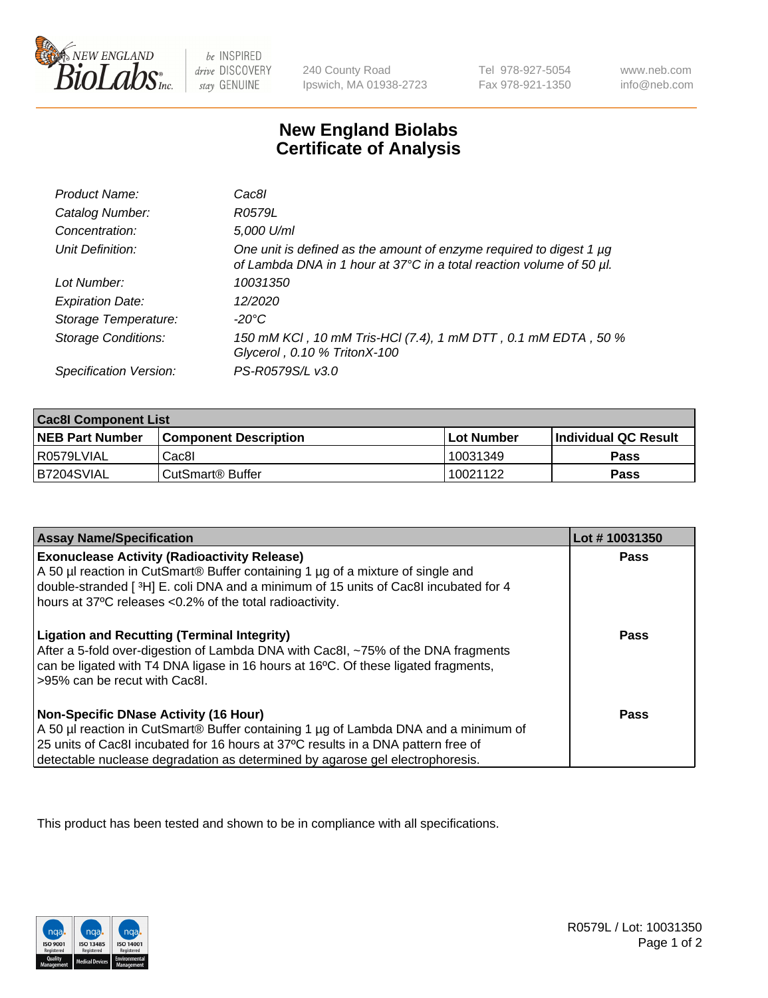

 $be$  INSPIRED drive DISCOVERY stay GENUINE

240 County Road Ipswich, MA 01938-2723 Tel 978-927-5054 Fax 978-921-1350 www.neb.com info@neb.com

## **New England Biolabs Certificate of Analysis**

| Product Name:              | Cac8l                                                                                                                                       |
|----------------------------|---------------------------------------------------------------------------------------------------------------------------------------------|
| Catalog Number:            | R0579L                                                                                                                                      |
| Concentration:             | 5,000 U/ml                                                                                                                                  |
| Unit Definition:           | One unit is defined as the amount of enzyme required to digest 1 µg<br>of Lambda DNA in 1 hour at 37°C in a total reaction volume of 50 µl. |
| Lot Number:                | 10031350                                                                                                                                    |
| <b>Expiration Date:</b>    | 12/2020                                                                                                                                     |
| Storage Temperature:       | -20°C                                                                                                                                       |
| <b>Storage Conditions:</b> | 150 mM KCI, 10 mM Tris-HCI (7.4), 1 mM DTT, 0.1 mM EDTA, 50 %<br>Glycerol, 0.10 % TritonX-100                                               |
| Specification Version:     | PS-R0579S/L v3.0                                                                                                                            |

| <b>Cac8I Component List</b> |                              |                   |                       |  |
|-----------------------------|------------------------------|-------------------|-----------------------|--|
| <b>NEB Part Number</b>      | <b>Component Description</b> | <b>Lot Number</b> | ∣Individual QC Result |  |
| R0579LVIAL                  | Cac8l                        | 10031349          | <b>Pass</b>           |  |
| B7204SVIAL                  | CutSmart <sup>®</sup> Buffer | 10021122          | Pass                  |  |

| <b>Assay Name/Specification</b>                                                                                                                                                                                                                                                                    | Lot #10031350 |
|----------------------------------------------------------------------------------------------------------------------------------------------------------------------------------------------------------------------------------------------------------------------------------------------------|---------------|
| <b>Exonuclease Activity (Radioactivity Release)</b><br>A 50 µl reaction in CutSmart® Buffer containing 1 µg of a mixture of single and<br>double-stranded [3H] E. coli DNA and a minimum of 15 units of Cac8I incubated for 4<br>hours at 37°C releases <0.2% of the total radioactivity.          | <b>Pass</b>   |
| <b>Ligation and Recutting (Terminal Integrity)</b><br>After a 5-fold over-digestion of Lambda DNA with Cac8I, ~75% of the DNA fragments<br>can be ligated with T4 DNA ligase in 16 hours at 16°C. Of these ligated fragments,<br>-95% can be recut with Cac8I.                                     | Pass          |
| Non-Specific DNase Activity (16 Hour)<br>A 50 µl reaction in CutSmart® Buffer containing 1 µg of Lambda DNA and a minimum of<br>25 units of Cac8I incubated for 16 hours at 37°C results in a DNA pattern free of<br>detectable nuclease degradation as determined by agarose gel electrophoresis. | Pass          |

This product has been tested and shown to be in compliance with all specifications.